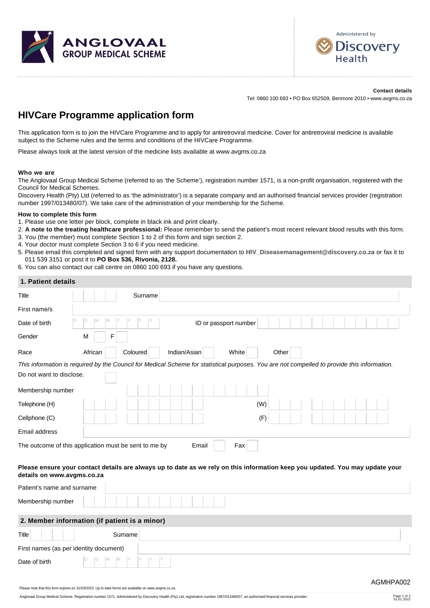



**Contact details** Tel: 0860 100 693 • PO Box 652509, Benmore 2010 • www.avgms.co.za

# **HIVCare Programme application form**

This application form is to join the HIVCare Programme and to apply for antiretroviral medicine. Cover for antiretroviral medicine is available subject to the Scheme rules and the terms and conditions of the HIVCare Programme.

Please always look at the latest version of the medicine lists available at www.avgms.co.za

#### **Who we are**

The Anglovaal Group Medical Scheme (referred to as 'the Scheme'), registration number 1571, is a non-profit organisation, registered with the Council for Medical Schemes.

Discovery Health (Pty) Ltd (referred to as 'the administrator') is a separate company and an authorised financial services provider (registration number 1997/013480/07). We take care of the administration of your membership for the Scheme.

#### **How to complete this form**

1. Please use one letter per block, complete in black ink and print clearly.

- 2. **A note to the treating healthcare professional:** Please remember to send the patient's most recent relevant blood results with this form.
- 3. You (the member) must complete Section 1 to 2 of this form and sign section 2.
- 4. Your doctor must complete Section 3 to 6 if you need medicine.
- 5. Please email this completed and signed form with any support documentation to **[HIV\\_Diseasemanagement@discovery.co.za](mailto:HIV_Diseasemanagement@discovery.co.za)** or fax it to 011 539 3151 or post it to **PO Box 536, Rivonia, 2128.**
- 6. You can also contact our call centre on 0860 100 693 if you have any questions.

| 1. Patient details                                                                                                                                                                        |  |
|-------------------------------------------------------------------------------------------------------------------------------------------------------------------------------------------|--|
| Surname<br>Title                                                                                                                                                                          |  |
| First name/s                                                                                                                                                                              |  |
| M<br>M<br>D<br>ID<br>Y<br>Date of birth<br>ID or passport number                                                                                                                          |  |
| F<br>Gender<br>М                                                                                                                                                                          |  |
| African<br>Indian/Asian<br>Coloured<br>White<br>Other<br>Race                                                                                                                             |  |
| This information is required by the Council for Medical Scheme for statistical purposes. You are not compelled to provide this information.                                               |  |
| Do not want to disclose.                                                                                                                                                                  |  |
| Membership number                                                                                                                                                                         |  |
| (W)<br>Telephone (H)                                                                                                                                                                      |  |
| Cellphone (C)<br>(F)                                                                                                                                                                      |  |
| Email address                                                                                                                                                                             |  |
| The outcome of this application must be sent to me by<br>Fax<br>Email                                                                                                                     |  |
| Please ensure your contact details are always up to date as we rely on this information keep you updated. You may update your<br>details on www.avgms.co.za<br>Patient's name and surname |  |
|                                                                                                                                                                                           |  |
| Membership number                                                                                                                                                                         |  |
| 2. Member information (if patient is a minor)                                                                                                                                             |  |
| Surname<br>Title                                                                                                                                                                          |  |
| First names (as per identity document)                                                                                                                                                    |  |

Please note that this form expires on 31/03/2023. Up to date forms are available on www.avgms.co.za.

D D M M Y Y Y Y

Date of birth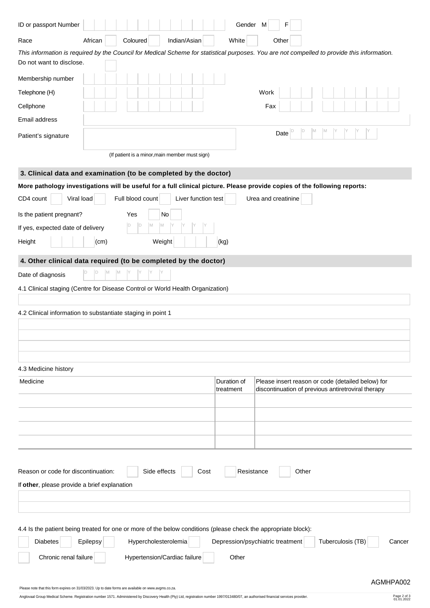| ID or passport Number                                                                                                                                                   |          |  |                  |                      |                                                |                     | Gender M                                  |                                                                                                         | F     |       |                   |  |        |
|-------------------------------------------------------------------------------------------------------------------------------------------------------------------------|----------|--|------------------|----------------------|------------------------------------------------|---------------------|-------------------------------------------|---------------------------------------------------------------------------------------------------------|-------|-------|-------------------|--|--------|
| Race                                                                                                                                                                    | African  |  | Coloured         |                      | Indian/Asian                                   |                     | White                                     |                                                                                                         | Other |       |                   |  |        |
| This information is required by the Council for Medical Scheme for statistical purposes. You are not compelled to provide this information.<br>Do not want to disclose. |          |  |                  |                      |                                                |                     |                                           |                                                                                                         |       |       |                   |  |        |
| Membership number                                                                                                                                                       |          |  |                  |                      |                                                |                     |                                           |                                                                                                         |       |       |                   |  |        |
| Telephone (H)                                                                                                                                                           |          |  |                  |                      |                                                |                     |                                           | Work                                                                                                    |       |       |                   |  |        |
| Cellphone                                                                                                                                                               |          |  |                  |                      |                                                |                     |                                           | Fax                                                                                                     |       |       |                   |  |        |
| Email address                                                                                                                                                           |          |  |                  |                      |                                                |                     |                                           |                                                                                                         |       |       |                   |  |        |
| M<br>D<br>M<br>ID<br>Date<br>Patient's signature                                                                                                                        |          |  |                  |                      |                                                |                     |                                           |                                                                                                         |       |       |                   |  |        |
|                                                                                                                                                                         |          |  |                  |                      | (If patient is a minor, main member must sign) |                     |                                           |                                                                                                         |       |       |                   |  |        |
| 3. Clinical data and examination (to be completed by the doctor)                                                                                                        |          |  |                  |                      |                                                |                     |                                           |                                                                                                         |       |       |                   |  |        |
| More pathology investigations will be useful for a full clinical picture. Please provide copies of the following reports:                                               |          |  |                  |                      |                                                |                     |                                           |                                                                                                         |       |       |                   |  |        |
| Viral load<br>CD4 count                                                                                                                                                 |          |  | Full blood count |                      |                                                | Liver function test |                                           | Urea and creatinine                                                                                     |       |       |                   |  |        |
| Is the patient pregnant?                                                                                                                                                |          |  | Yes              | No                   |                                                |                     |                                           |                                                                                                         |       |       |                   |  |        |
| If yes, expected date of delivery                                                                                                                                       |          |  | D<br> D          | M<br>M               |                                                |                     |                                           |                                                                                                         |       |       |                   |  |        |
| Height                                                                                                                                                                  | (cm)     |  |                  | Weight               |                                                |                     | (kg)                                      |                                                                                                         |       |       |                   |  |        |
| 4. Other clinical data required (to be completed by the doctor)                                                                                                         |          |  |                  |                      |                                                |                     |                                           |                                                                                                         |       |       |                   |  |        |
| Date of diagnosis                                                                                                                                                       |          |  |                  |                      |                                                |                     |                                           |                                                                                                         |       |       |                   |  |        |
| 4.1 Clinical staging (Centre for Disease Control or World Health Organization)                                                                                          |          |  |                  |                      |                                                |                     |                                           |                                                                                                         |       |       |                   |  |        |
|                                                                                                                                                                         |          |  |                  |                      |                                                |                     |                                           |                                                                                                         |       |       |                   |  |        |
| 4.2 Clinical information to substantiate staging in point 1                                                                                                             |          |  |                  |                      |                                                |                     |                                           |                                                                                                         |       |       |                   |  |        |
|                                                                                                                                                                         |          |  |                  |                      |                                                |                     |                                           |                                                                                                         |       |       |                   |  |        |
|                                                                                                                                                                         |          |  |                  |                      |                                                |                     |                                           |                                                                                                         |       |       |                   |  |        |
|                                                                                                                                                                         |          |  |                  |                      |                                                |                     |                                           |                                                                                                         |       |       |                   |  |        |
| 4.3 Medicine history                                                                                                                                                    |          |  |                  |                      |                                                |                     |                                           |                                                                                                         |       |       |                   |  |        |
| Medicine                                                                                                                                                                |          |  |                  |                      |                                                |                     | Duration of<br>treatment                  | Please insert reason or code (detailed below) for<br>discontinuation of previous antiretroviral therapy |       |       |                   |  |        |
|                                                                                                                                                                         |          |  |                  |                      |                                                |                     |                                           |                                                                                                         |       |       |                   |  |        |
|                                                                                                                                                                         |          |  |                  |                      |                                                |                     |                                           |                                                                                                         |       |       |                   |  |        |
|                                                                                                                                                                         |          |  |                  |                      |                                                |                     |                                           |                                                                                                         |       |       |                   |  |        |
|                                                                                                                                                                         |          |  |                  |                      |                                                |                     |                                           |                                                                                                         |       |       |                   |  |        |
| Reason or code for discontinuation:<br>If other, please provide a brief explanation                                                                                     |          |  |                  | Side effects         |                                                | Cost                | Resistance                                |                                                                                                         |       | Other |                   |  |        |
|                                                                                                                                                                         |          |  |                  |                      |                                                |                     |                                           |                                                                                                         |       |       |                   |  |        |
|                                                                                                                                                                         |          |  |                  |                      |                                                |                     |                                           |                                                                                                         |       |       |                   |  |        |
| 4.4 Is the patient being treated for one or more of the below conditions (please check the appropriate block):<br><b>Diabetes</b><br>Chronic renal failure              | Epilepsy |  |                  | Hypercholesterolemia | Hypertension/Cardiac failure                   |                     | Depression/psychiatric treatment<br>Other |                                                                                                         |       |       | Tuberculosis (TB) |  | Cancer |

Page 2 of 3<br>01.01.2022